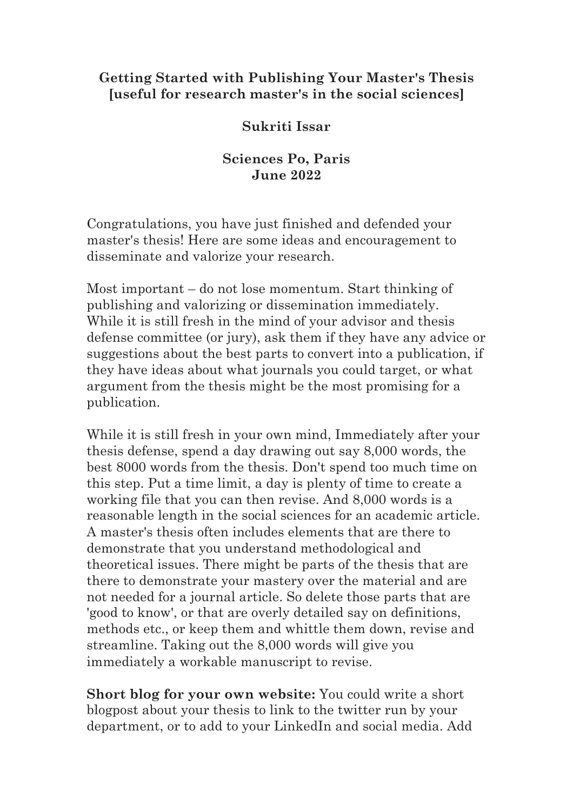### **Getting Started with Publishing Your Master's Thesis [useful for research master's in the social sciences]**

# **Sukriti Issar**

### **Sciences Po, Paris June 2022**

Congratulations, you have just finished and defended your master's thesis! Here are some ideas and encouragement to disseminate and valorize your research.

Most important – do not lose momentum. Start thinking of publishing and valorizing or dissemination immediately. While it is still fresh in the mind of your advisor and thesis defense committee (or jury), ask them if they have any advice or suggestions about the best parts to convert into a publication, if they have ideas about what journals you could target, or what argument from the thesis might be the most promising for a publication.

While it is still fresh in your own mind, Immediately after your thesis defense, spend a day drawing out say 8,000 words, the best 8000 words from the thesis. Don't spend too much time on this step. Put a time limit, a day is plenty of time to create a working file that you can then revise. And 8,000 words is a reasonable length in the social sciences for an academic article. A master's thesis often includes elements that are there to demonstrate that you understand methodological and theoretical issues. There might be parts of the thesis that are there to demonstrate your mastery over the material and are not needed for a journal article. So delete those parts that are 'good to know', or that are overly detailed say on definitions, methods etc., or keep them and whittle them down, revise and streamline. Taking out the 8,000 words will give you immediately a workable manuscript to revise.

**Short blog for your own website:** You could write a short blogpost about your thesis to link to the twitter run by your department, or to add to your LinkedIn and social media. Add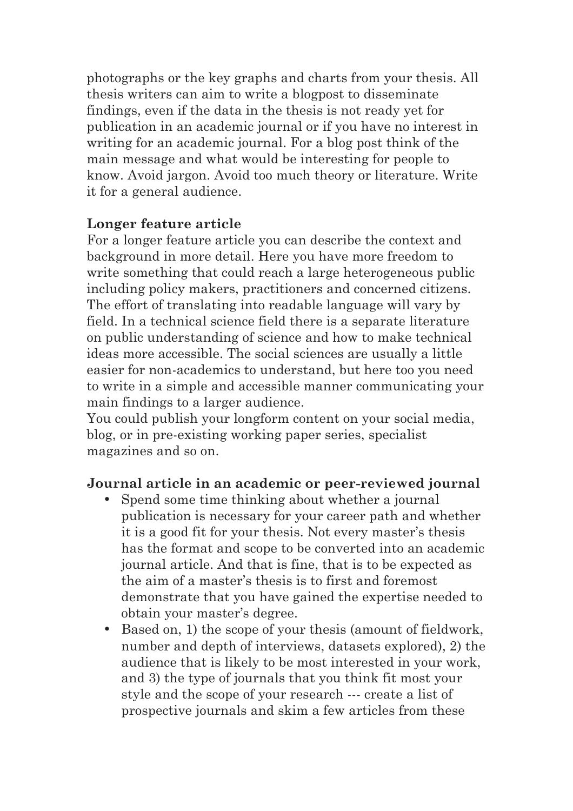photographs or the key graphs and charts from your thesis. All thesis writers can aim to write a blogpost to disseminate findings, even if the data in the thesis is not ready yet for publication in an academic journal or if you have no interest in writing for an academic journal. For a blog post think of the main message and what would be interesting for people to know. Avoid jargon. Avoid too much theory or literature. Write it for a general audience.

### **Longer feature article**

For a longer feature article you can describe the context and background in more detail. Here you have more freedom to write something that could reach a large heterogeneous public including policy makers, practitioners and concerned citizens. The effort of translating into readable language will vary by field. In a technical science field there is a separate literature on public understanding of science and how to make technical ideas more accessible. The social sciences are usually a little easier for non-academics to understand, but here too you need to write in a simple and accessible manner communicating your main findings to a larger audience.

You could publish your longform content on your social media, blog, or in pre-existing working paper series, specialist magazines and so on.

# **Journal article in an academic or peer-reviewed journal**

- Spend some time thinking about whether a journal publication is necessary for your career path and whether it is a good fit for your thesis. Not every master's thesis has the format and scope to be converted into an academic journal article. And that is fine, that is to be expected as the aim of a master's thesis is to first and foremost demonstrate that you have gained the expertise needed to obtain your master's degree.
- Based on, 1) the scope of your thesis (amount of fieldwork, number and depth of interviews, datasets explored), 2) the audience that is likely to be most interested in your work, and 3) the type of journals that you think fit most your style and the scope of your research --- create a list of prospective journals and skim a few articles from these